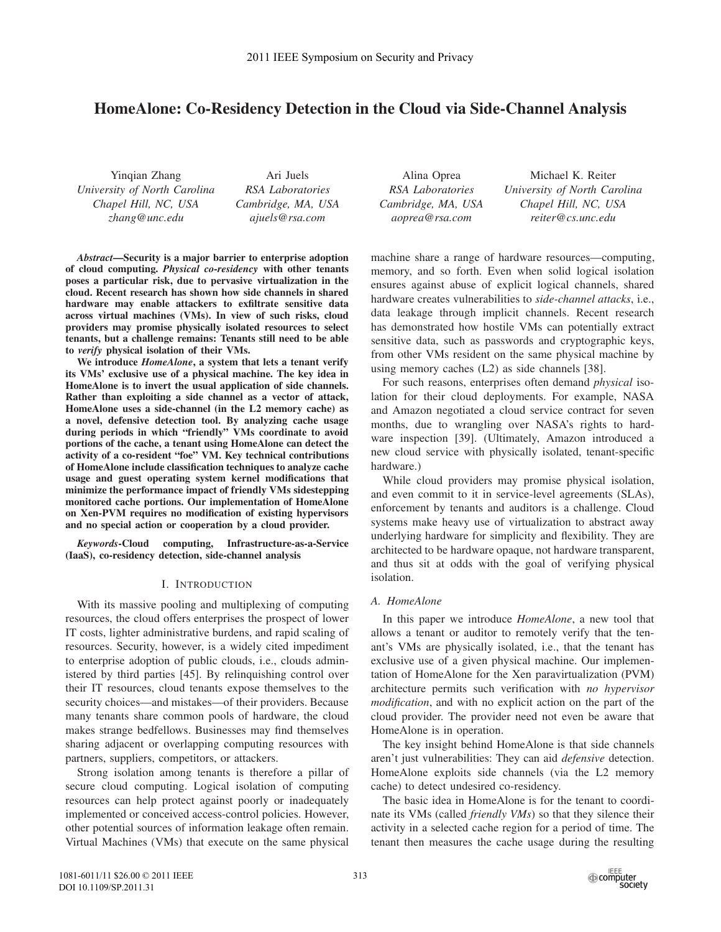# **HomeAlone: Co-Residency Detection in the Cloud via Side-Channel Analysis**

Yinqian Zhang *University of North Carolina Chapel Hill, NC, USA zhang@unc.edu*

Ari Juels *RSA Laboratories Cambridge, MA, USA ajuels@rsa.com*

*Abstract***—Security is a major barrier to enterprise adoption of cloud computing.** *Physical co-residency* **with other tenants poses a particular risk, due to pervasive virtualization in the cloud. Recent research has shown how side channels in shared hardware may enable attackers to exfiltrate sensitive data across virtual machines (VMs). In view of such risks, cloud providers may promise physically isolated resources to select tenants, but a challenge remains: Tenants still need to be able to** *verify* **physical isolation of their VMs.**

**We introduce** *HomeAlone***, a system that lets a tenant verify its VMs' exclusive use of a physical machine. The key idea in HomeAlone is to invert the usual application of side channels. Rather than exploiting a side channel as a vector of attack, HomeAlone uses a side-channel (in the L2 memory cache) as a novel, defensive detection tool. By analyzing cache usage during periods in which "friendly" VMs coordinate to avoid portions of the cache, a tenant using HomeAlone can detect the activity of a co-resident "foe" VM. Key technical contributions of HomeAlone include classification techniques to analyze cache usage and guest operating system kernel modifications that minimize the performance impact of friendly VMs sidestepping monitored cache portions. Our implementation of HomeAlone on Xen-PVM requires no modification of existing hypervisors and no special action or cooperation by a cloud provider.**

*Keywords***-Cloud computing, Infrastructure-as-a-Service (IaaS), co-residency detection, side-channel analysis**

#### I. INTRODUCTION

With its massive pooling and multiplexing of computing resources, the cloud offers enterprises the prospect of lower IT costs, lighter administrative burdens, and rapid scaling of resources. Security, however, is a widely cited impediment to enterprise adoption of public clouds, i.e., clouds administered by third parties [45]. By relinquishing control over their IT resources, cloud tenants expose themselves to the security choices—and mistakes—of their providers. Because many tenants share common pools of hardware, the cloud makes strange bedfellows. Businesses may find themselves sharing adjacent or overlapping computing resources with partners, suppliers, competitors, or attackers.

Strong isolation among tenants is therefore a pillar of secure cloud computing. Logical isolation of computing resources can help protect against poorly or inadequately implemented or conceived access-control policies. However, other potential sources of information leakage often remain. Virtual Machines (VMs) that execute on the same physical

Alina Oprea *RSA Laboratories Cambridge, MA, USA aoprea@rsa.com*

Michael K. Reiter *University of North Carolina Chapel Hill, NC, USA reiter@cs.unc.edu*

machine share a range of hardware resources—computing, memory, and so forth. Even when solid logical isolation ensures against abuse of explicit logical channels, shared hardware creates vulnerabilities to *side-channel attacks*, i.e., data leakage through implicit channels. Recent research has demonstrated how hostile VMs can potentially extract sensitive data, such as passwords and cryptographic keys, from other VMs resident on the same physical machine by using memory caches (L2) as side channels [38].

For such reasons, enterprises often demand *physical* isolation for their cloud deployments. For example, NASA and Amazon negotiated a cloud service contract for seven months, due to wrangling over NASA's rights to hardware inspection [39]. (Ultimately, Amazon introduced a new cloud service with physically isolated, tenant-specific hardware.)

While cloud providers may promise physical isolation, and even commit to it in service-level agreements (SLAs), enforcement by tenants and auditors is a challenge. Cloud systems make heavy use of virtualization to abstract away underlying hardware for simplicity and flexibility. They are architected to be hardware opaque, not hardware transparent, and thus sit at odds with the goal of verifying physical isolation.

## *A. HomeAlone*

In this paper we introduce *HomeAlone*, a new tool that allows a tenant or auditor to remotely verify that the tenant's VMs are physically isolated, i.e., that the tenant has exclusive use of a given physical machine. Our implementation of HomeAlone for the Xen paravirtualization (PVM) architecture permits such verification with *no hypervisor modification*, and with no explicit action on the part of the cloud provider. The provider need not even be aware that HomeAlone is in operation.

The key insight behind HomeAlone is that side channels aren't just vulnerabilities: They can aid *defensive* detection. HomeAlone exploits side channels (via the L2 memory cache) to detect undesired co-residency.

The basic idea in HomeAlone is for the tenant to coordinate its VMs (called *friendly VMs*) so that they silence their activity in a selected cache region for a period of time. The tenant then measures the cache usage during the resulting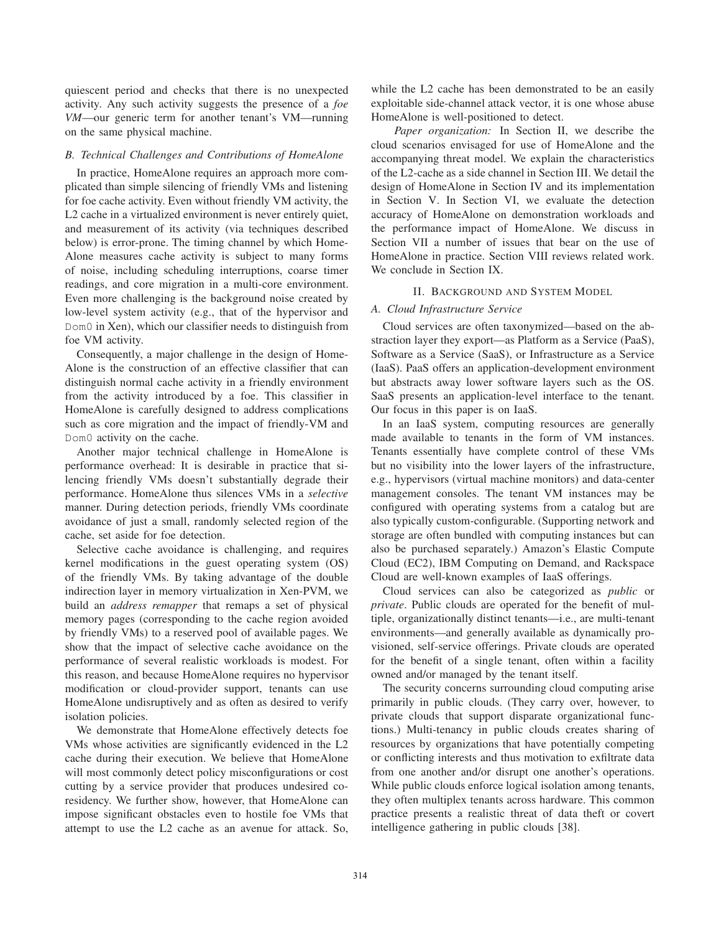quiescent period and checks that there is no unexpected activity. Any such activity suggests the presence of a *foe VM*—our generic term for another tenant's VM—running on the same physical machine.

### *B. Technical Challenges and Contributions of HomeAlone*

In practice, HomeAlone requires an approach more complicated than simple silencing of friendly VMs and listening for foe cache activity. Even without friendly VM activity, the L2 cache in a virtualized environment is never entirely quiet, and measurement of its activity (via techniques described below) is error-prone. The timing channel by which Home-Alone measures cache activity is subject to many forms of noise, including scheduling interruptions, coarse timer readings, and core migration in a multi-core environment. Even more challenging is the background noise created by low-level system activity (e.g., that of the hypervisor and Dom0 in Xen), which our classifier needs to distinguish from foe VM activity.

Consequently, a major challenge in the design of Home-Alone is the construction of an effective classifier that can distinguish normal cache activity in a friendly environment from the activity introduced by a foe. This classifier in HomeAlone is carefully designed to address complications such as core migration and the impact of friendly-VM and Dom0 activity on the cache.

Another major technical challenge in HomeAlone is performance overhead: It is desirable in practice that silencing friendly VMs doesn't substantially degrade their performance. HomeAlone thus silences VMs in a *selective* manner. During detection periods, friendly VMs coordinate avoidance of just a small, randomly selected region of the cache, set aside for foe detection.

Selective cache avoidance is challenging, and requires kernel modifications in the guest operating system (OS) of the friendly VMs. By taking advantage of the double indirection layer in memory virtualization in Xen-PVM, we build an *address remapper* that remaps a set of physical memory pages (corresponding to the cache region avoided by friendly VMs) to a reserved pool of available pages. We show that the impact of selective cache avoidance on the performance of several realistic workloads is modest. For this reason, and because HomeAlone requires no hypervisor modification or cloud-provider support, tenants can use HomeAlone undisruptively and as often as desired to verify isolation policies.

We demonstrate that HomeAlone effectively detects foe VMs whose activities are significantly evidenced in the L2 cache during their execution. We believe that HomeAlone will most commonly detect policy misconfigurations or cost cutting by a service provider that produces undesired coresidency. We further show, however, that HomeAlone can impose significant obstacles even to hostile foe VMs that attempt to use the L2 cache as an avenue for attack. So,

while the L2 cache has been demonstrated to be an easily exploitable side-channel attack vector, it is one whose abuse HomeAlone is well-positioned to detect.

*Paper organization:* In Section II, we describe the cloud scenarios envisaged for use of HomeAlone and the accompanying threat model. We explain the characteristics of the L2-cache as a side channel in Section III. We detail the design of HomeAlone in Section IV and its implementation in Section V. In Section VI, we evaluate the detection accuracy of HomeAlone on demonstration workloads and the performance impact of HomeAlone. We discuss in Section VII a number of issues that bear on the use of HomeAlone in practice. Section VIII reviews related work. We conclude in Section IX.

## II. BACKGROUND AND SYSTEM MODEL

#### *A. Cloud Infrastructure Service*

Cloud services are often taxonymized—based on the abstraction layer they export—as Platform as a Service (PaaS), Software as a Service (SaaS), or Infrastructure as a Service (IaaS). PaaS offers an application-development environment but abstracts away lower software layers such as the OS. SaaS presents an application-level interface to the tenant. Our focus in this paper is on IaaS.

In an IaaS system, computing resources are generally made available to tenants in the form of VM instances. Tenants essentially have complete control of these VMs but no visibility into the lower layers of the infrastructure, e.g., hypervisors (virtual machine monitors) and data-center management consoles. The tenant VM instances may be configured with operating systems from a catalog but are also typically custom-configurable. (Supporting network and storage are often bundled with computing instances but can also be purchased separately.) Amazon's Elastic Compute Cloud (EC2), IBM Computing on Demand, and Rackspace Cloud are well-known examples of IaaS offerings.

Cloud services can also be categorized as *public* or *private*. Public clouds are operated for the benefit of multiple, organizationally distinct tenants—i.e., are multi-tenant environments—and generally available as dynamically provisioned, self-service offerings. Private clouds are operated for the benefit of a single tenant, often within a facility owned and/or managed by the tenant itself.

The security concerns surrounding cloud computing arise primarily in public clouds. (They carry over, however, to private clouds that support disparate organizational functions.) Multi-tenancy in public clouds creates sharing of resources by organizations that have potentially competing or conflicting interests and thus motivation to exfiltrate data from one another and/or disrupt one another's operations. While public clouds enforce logical isolation among tenants, they often multiplex tenants across hardware. This common practice presents a realistic threat of data theft or covert intelligence gathering in public clouds [38].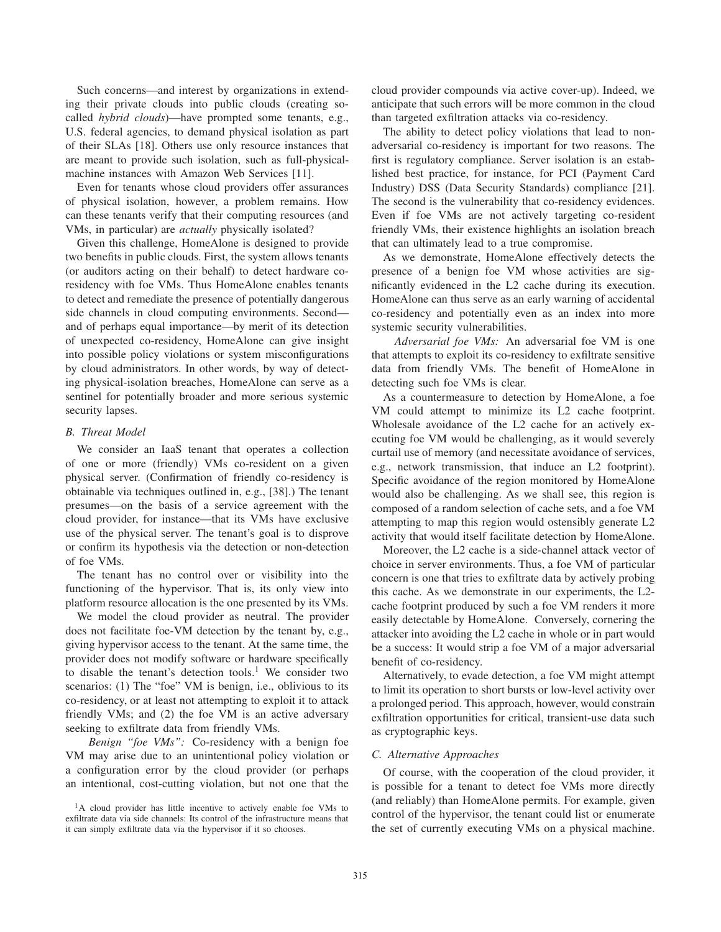Such concerns—and interest by organizations in extending their private clouds into public clouds (creating socalled *hybrid clouds*)—have prompted some tenants, e.g., U.S. federal agencies, to demand physical isolation as part of their SLAs [18]. Others use only resource instances that are meant to provide such isolation, such as full-physicalmachine instances with Amazon Web Services [11].

Even for tenants whose cloud providers offer assurances of physical isolation, however, a problem remains. How can these tenants verify that their computing resources (and VMs, in particular) are *actually* physically isolated?

Given this challenge, HomeAlone is designed to provide two benefits in public clouds. First, the system allows tenants (or auditors acting on their behalf) to detect hardware coresidency with foe VMs. Thus HomeAlone enables tenants to detect and remediate the presence of potentially dangerous side channels in cloud computing environments. Second and of perhaps equal importance—by merit of its detection of unexpected co-residency, HomeAlone can give insight into possible policy violations or system misconfigurations by cloud administrators. In other words, by way of detecting physical-isolation breaches, HomeAlone can serve as a sentinel for potentially broader and more serious systemic security lapses.

#### *B. Threat Model*

We consider an IaaS tenant that operates a collection of one or more (friendly) VMs co-resident on a given physical server. (Confirmation of friendly co-residency is obtainable via techniques outlined in, e.g., [38].) The tenant presumes—on the basis of a service agreement with the cloud provider, for instance—that its VMs have exclusive use of the physical server. The tenant's goal is to disprove or confirm its hypothesis via the detection or non-detection of foe VMs.

The tenant has no control over or visibility into the functioning of the hypervisor. That is, its only view into platform resource allocation is the one presented by its VMs.

We model the cloud provider as neutral. The provider does not facilitate foe-VM detection by the tenant by, e.g., giving hypervisor access to the tenant. At the same time, the provider does not modify software or hardware specifically to disable the tenant's detection tools.<sup>1</sup> We consider two scenarios: (1) The "foe" VM is benign, i.e., oblivious to its co-residency, or at least not attempting to exploit it to attack friendly VMs; and (2) the foe VM is an active adversary seeking to exfiltrate data from friendly VMs.

*Benign "foe VMs":* Co-residency with a benign foe VM may arise due to an unintentional policy violation or a configuration error by the cloud provider (or perhaps an intentional, cost-cutting violation, but not one that the cloud provider compounds via active cover-up). Indeed, we anticipate that such errors will be more common in the cloud than targeted exfiltration attacks via co-residency.

The ability to detect policy violations that lead to nonadversarial co-residency is important for two reasons. The first is regulatory compliance. Server isolation is an established best practice, for instance, for PCI (Payment Card Industry) DSS (Data Security Standards) compliance [21]. The second is the vulnerability that co-residency evidences. Even if foe VMs are not actively targeting co-resident friendly VMs, their existence highlights an isolation breach that can ultimately lead to a true compromise.

As we demonstrate, HomeAlone effectively detects the presence of a benign foe VM whose activities are significantly evidenced in the L2 cache during its execution. HomeAlone can thus serve as an early warning of accidental co-residency and potentially even as an index into more systemic security vulnerabilities.

*Adversarial foe VMs:* An adversarial foe VM is one that attempts to exploit its co-residency to exfiltrate sensitive data from friendly VMs. The benefit of HomeAlone in detecting such foe VMs is clear.

As a countermeasure to detection by HomeAlone, a foe VM could attempt to minimize its L2 cache footprint. Wholesale avoidance of the L2 cache for an actively executing foe VM would be challenging, as it would severely curtail use of memory (and necessitate avoidance of services, e.g., network transmission, that induce an L2 footprint). Specific avoidance of the region monitored by HomeAlone would also be challenging. As we shall see, this region is composed of a random selection of cache sets, and a foe VM attempting to map this region would ostensibly generate L2 activity that would itself facilitate detection by HomeAlone.

Moreover, the L2 cache is a side-channel attack vector of choice in server environments. Thus, a foe VM of particular concern is one that tries to exfiltrate data by actively probing this cache. As we demonstrate in our experiments, the L2 cache footprint produced by such a foe VM renders it more easily detectable by HomeAlone. Conversely, cornering the attacker into avoiding the L2 cache in whole or in part would be a success: It would strip a foe VM of a major adversarial benefit of co-residency.

Alternatively, to evade detection, a foe VM might attempt to limit its operation to short bursts or low-level activity over a prolonged period. This approach, however, would constrain exfiltration opportunities for critical, transient-use data such as cryptographic keys.

#### *C. Alternative Approaches*

Of course, with the cooperation of the cloud provider, it is possible for a tenant to detect foe VMs more directly (and reliably) than HomeAlone permits. For example, given control of the hypervisor, the tenant could list or enumerate the set of currently executing VMs on a physical machine.

<sup>&</sup>lt;sup>1</sup>A cloud provider has little incentive to actively enable foe VMs to exfiltrate data via side channels: Its control of the infrastructure means that it can simply exfiltrate data via the hypervisor if it so chooses.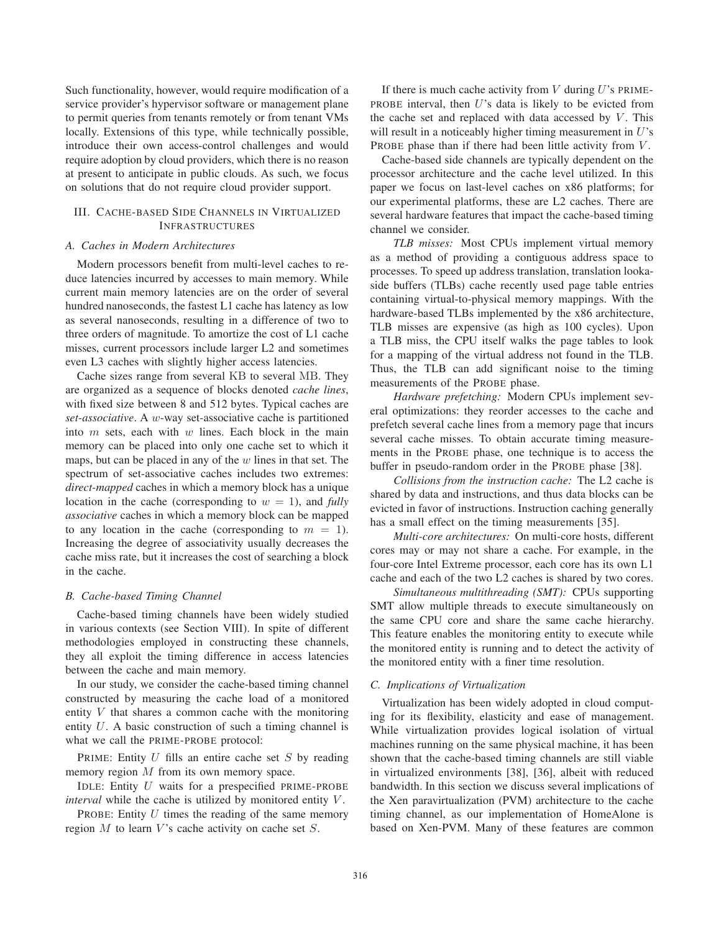Such functionality, however, would require modification of a service provider's hypervisor software or management plane to permit queries from tenants remotely or from tenant VMs locally. Extensions of this type, while technically possible, introduce their own access-control challenges and would require adoption by cloud providers, which there is no reason at present to anticipate in public clouds. As such, we focus on solutions that do not require cloud provider support.

## III. CACHE-BASED SIDE CHANNELS IN VIRTUALIZED INFRASTRUCTURES

## *A. Caches in Modern Architectures*

Modern processors benefit from multi-level caches to reduce latencies incurred by accesses to main memory. While current main memory latencies are on the order of several hundred nanoseconds, the fastest L1 cache has latency as low as several nanoseconds, resulting in a difference of two to three orders of magnitude. To amortize the cost of L1 cache misses, current processors include larger L2 and sometimes even L3 caches with slightly higher access latencies.

Cache sizes range from several KB to several MB. They are organized as a sequence of blocks denoted *cache lines*, with fixed size between 8 and 512 bytes. Typical caches are *set-associative*. A w-way set-associative cache is partitioned into  $m$  sets, each with  $w$  lines. Each block in the main memory can be placed into only one cache set to which it maps, but can be placed in any of the  $w$  lines in that set. The spectrum of set-associative caches includes two extremes: *direct-mapped* caches in which a memory block has a unique location in the cache (corresponding to  $w = 1$ ), and *fully associative* caches in which a memory block can be mapped to any location in the cache (corresponding to  $m = 1$ ). Increasing the degree of associativity usually decreases the cache miss rate, but it increases the cost of searching a block in the cache.

#### *B. Cache-based Timing Channel*

Cache-based timing channels have been widely studied in various contexts (see Section VIII). In spite of different methodologies employed in constructing these channels, they all exploit the timing difference in access latencies between the cache and main memory.

In our study, we consider the cache-based timing channel constructed by measuring the cache load of a monitored entity  $V$  that shares a common cache with the monitoring entity U. A basic construction of such a timing channel is what we call the PRIME-PROBE protocol:

PRIME: Entity  $U$  fills an entire cache set  $S$  by reading memory region  $M$  from its own memory space.

IDLE: Entity  $U$  waits for a prespecified PRIME-PROBE *interval* while the cache is utilized by monitored entity V.

PROBE: Entity  $U$  times the reading of the same memory region  $M$  to learn  $V$ 's cache activity on cache set  $S$ .

If there is much cache activity from  $V$  during  $U$ 's PRIME-PROBE interval, then  $U$ 's data is likely to be evicted from the cache set and replaced with data accessed by  $V$ . This will result in a noticeably higher timing measurement in  $U$ 's PROBE phase than if there had been little activity from V.

Cache-based side channels are typically dependent on the processor architecture and the cache level utilized. In this paper we focus on last-level caches on x86 platforms; for our experimental platforms, these are L2 caches. There are several hardware features that impact the cache-based timing channel we consider.

*TLB misses:* Most CPUs implement virtual memory as a method of providing a contiguous address space to processes. To speed up address translation, translation lookaside buffers (TLBs) cache recently used page table entries containing virtual-to-physical memory mappings. With the hardware-based TLBs implemented by the x86 architecture, TLB misses are expensive (as high as 100 cycles). Upon a TLB miss, the CPU itself walks the page tables to look for a mapping of the virtual address not found in the TLB. Thus, the TLB can add significant noise to the timing measurements of the PROBE phase.

*Hardware prefetching:* Modern CPUs implement several optimizations: they reorder accesses to the cache and prefetch several cache lines from a memory page that incurs several cache misses. To obtain accurate timing measurements in the PROBE phase, one technique is to access the buffer in pseudo-random order in the PROBE phase [38].

*Collisions from the instruction cache:* The L2 cache is shared by data and instructions, and thus data blocks can be evicted in favor of instructions. Instruction caching generally has a small effect on the timing measurements [35].

*Multi-core architectures:* On multi-core hosts, different cores may or may not share a cache. For example, in the four-core Intel Extreme processor, each core has its own L1 cache and each of the two L2 caches is shared by two cores.

*Simultaneous multithreading (SMT):* CPUs supporting SMT allow multiple threads to execute simultaneously on the same CPU core and share the same cache hierarchy. This feature enables the monitoring entity to execute while the monitored entity is running and to detect the activity of the monitored entity with a finer time resolution.

## *C. Implications of Virtualization*

Virtualization has been widely adopted in cloud computing for its flexibility, elasticity and ease of management. While virtualization provides logical isolation of virtual machines running on the same physical machine, it has been shown that the cache-based timing channels are still viable in virtualized environments [38], [36], albeit with reduced bandwidth. In this section we discuss several implications of the Xen paravirtualization (PVM) architecture to the cache timing channel, as our implementation of HomeAlone is based on Xen-PVM. Many of these features are common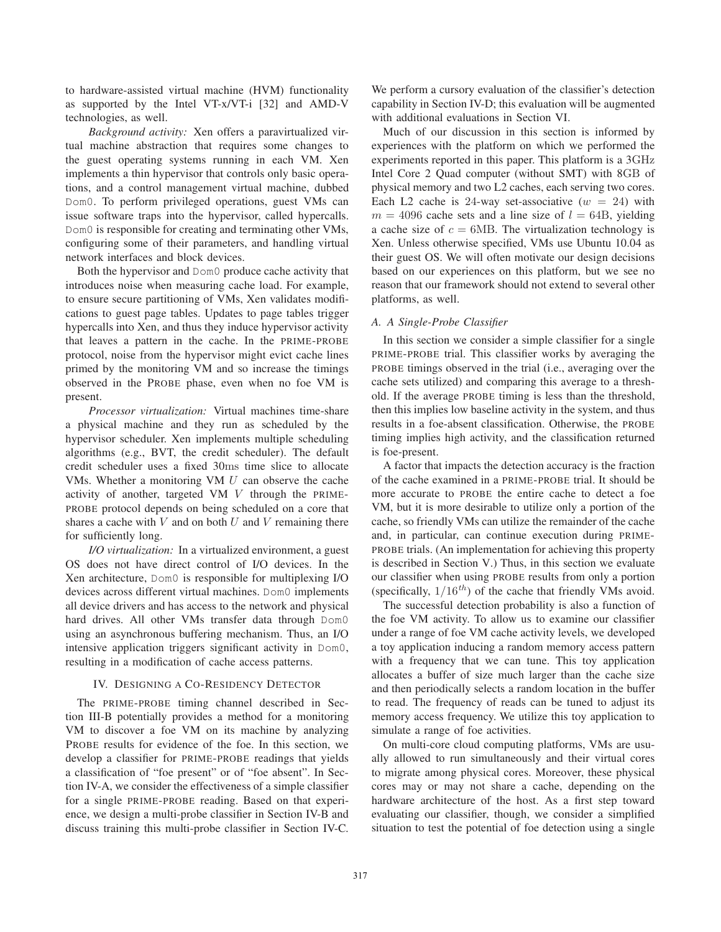to hardware-assisted virtual machine (HVM) functionality as supported by the Intel VT-x/VT-i [32] and AMD-V technologies, as well.

*Background activity:* Xen offers a paravirtualized virtual machine abstraction that requires some changes to the guest operating systems running in each VM. Xen implements a thin hypervisor that controls only basic operations, and a control management virtual machine, dubbed Dom0. To perform privileged operations, guest VMs can issue software traps into the hypervisor, called hypercalls. Dom0 is responsible for creating and terminating other VMs, configuring some of their parameters, and handling virtual network interfaces and block devices.

Both the hypervisor and Dom0 produce cache activity that introduces noise when measuring cache load. For example, to ensure secure partitioning of VMs, Xen validates modifications to guest page tables. Updates to page tables trigger hypercalls into Xen, and thus they induce hypervisor activity that leaves a pattern in the cache. In the PRIME-PROBE protocol, noise from the hypervisor might evict cache lines primed by the monitoring VM and so increase the timings observed in the PROBE phase, even when no foe VM is present.

*Processor virtualization:* Virtual machines time-share a physical machine and they run as scheduled by the hypervisor scheduler. Xen implements multiple scheduling algorithms (e.g., BVT, the credit scheduler). The default credit scheduler uses a fixed 30ms time slice to allocate VMs. Whether a monitoring VM  $U$  can observe the cache activity of another, targeted VM V through the PRIME-PROBE protocol depends on being scheduled on a core that shares a cache with  $V$  and on both  $U$  and  $V$  remaining there for sufficiently long.

*I/O virtualization:* In a virtualized environment, a guest OS does not have direct control of I/O devices. In the Xen architecture, Dom0 is responsible for multiplexing I/O devices across different virtual machines. Dom0 implements all device drivers and has access to the network and physical hard drives. All other VMs transfer data through Dom0 using an asynchronous buffering mechanism. Thus, an I/O intensive application triggers significant activity in Dom0, resulting in a modification of cache access patterns.

#### IV. DESIGNING A CO-RESIDENCY DETECTOR

The PRIME-PROBE timing channel described in Section III-B potentially provides a method for a monitoring VM to discover a foe VM on its machine by analyzing PROBE results for evidence of the foe. In this section, we develop a classifier for PRIME-PROBE readings that yields a classification of "foe present" or of "foe absent". In Section IV-A, we consider the effectiveness of a simple classifier for a single PRIME-PROBE reading. Based on that experience, we design a multi-probe classifier in Section IV-B and discuss training this multi-probe classifier in Section IV-C.

We perform a cursory evaluation of the classifier's detection capability in Section IV-D; this evaluation will be augmented with additional evaluations in Section VI.

Much of our discussion in this section is informed by experiences with the platform on which we performed the experiments reported in this paper. This platform is a 3GHz Intel Core 2 Quad computer (without SMT) with 8GB of physical memory and two L2 caches, each serving two cores. Each L2 cache is 24-way set-associative  $(w = 24)$  with  $m = 4096$  cache sets and a line size of  $l = 64B$ , yielding a cache size of  $c = 6MB$ . The virtualization technology is Xen. Unless otherwise specified, VMs use Ubuntu 10.04 as their guest OS. We will often motivate our design decisions based on our experiences on this platform, but we see no reason that our framework should not extend to several other platforms, as well.

## *A. A Single-Probe Classifier*

In this section we consider a simple classifier for a single PRIME-PROBE trial. This classifier works by averaging the PROBE timings observed in the trial (i.e., averaging over the cache sets utilized) and comparing this average to a threshold. If the average PROBE timing is less than the threshold, then this implies low baseline activity in the system, and thus results in a foe-absent classification. Otherwise, the PROBE timing implies high activity, and the classification returned is foe-present.

A factor that impacts the detection accuracy is the fraction of the cache examined in a PRIME-PROBE trial. It should be more accurate to PROBE the entire cache to detect a foe VM, but it is more desirable to utilize only a portion of the cache, so friendly VMs can utilize the remainder of the cache and, in particular, can continue execution during PRIME-PROBE trials. (An implementation for achieving this property is described in Section V.) Thus, in this section we evaluate our classifier when using PROBE results from only a portion (specifically,  $1/16^{th}$ ) of the cache that friendly VMs avoid.

The successful detection probability is also a function of the foe VM activity. To allow us to examine our classifier under a range of foe VM cache activity levels, we developed a toy application inducing a random memory access pattern with a frequency that we can tune. This toy application allocates a buffer of size much larger than the cache size and then periodically selects a random location in the buffer to read. The frequency of reads can be tuned to adjust its memory access frequency. We utilize this toy application to simulate a range of foe activities.

On multi-core cloud computing platforms, VMs are usually allowed to run simultaneously and their virtual cores to migrate among physical cores. Moreover, these physical cores may or may not share a cache, depending on the hardware architecture of the host. As a first step toward evaluating our classifier, though, we consider a simplified situation to test the potential of foe detection using a single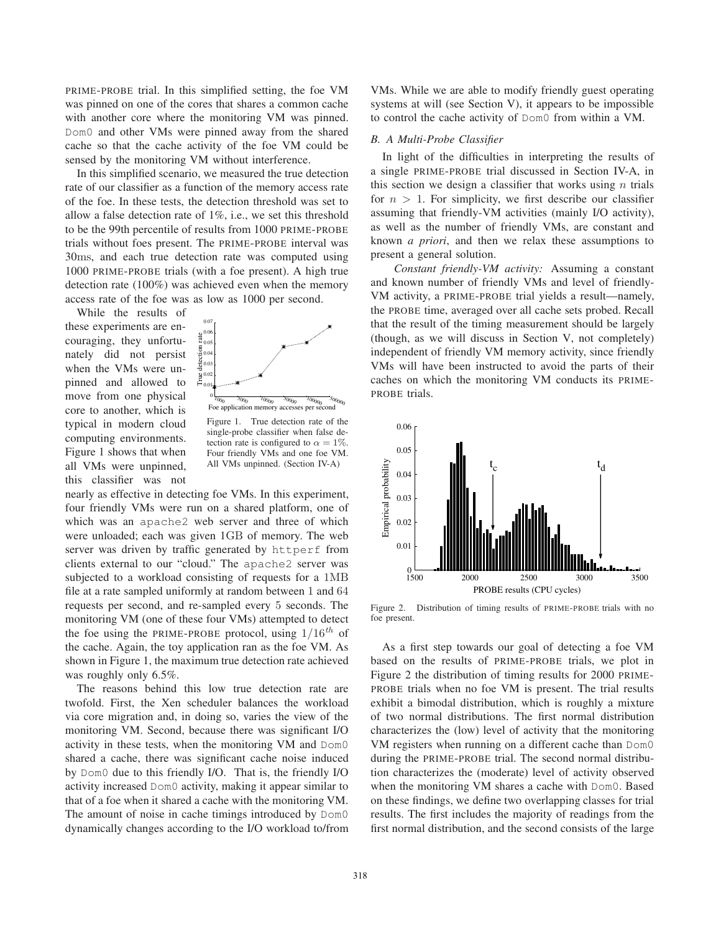PRIME-PROBE trial. In this simplified setting, the foe VM was pinned on one of the cores that shares a common cache with another core where the monitoring VM was pinned. Dom0 and other VMs were pinned away from the shared cache so that the cache activity of the foe VM could be sensed by the monitoring VM without interference.

In this simplified scenario, we measured the true detection rate of our classifier as a function of the memory access rate of the foe. In these tests, the detection threshold was set to allow a false detection rate of 1%, i.e., we set this threshold to be the 99th percentile of results from 1000 PRIME-PROBE trials without foes present. The PRIME-PROBE interval was 30ms, and each true detection rate was computed using 1000 PRIME-PROBE trials (with a foe present). A high true detection rate (100%) was achieved even when the memory access rate of the foe was as low as 1000 per second.

While the results of these experiments are encouraging, they unfortunately did not persist when the VMs were unpinned and allowed to move from one physical core to another, which is typical in modern cloud computing environments. Figure 1 shows that when all VMs were unpinned, this classifier was not



Figure 1. True detection rate of the single-probe classifier when false detection rate is configured to  $\alpha = 1\%$ . Four friendly VMs and one foe VM. All VMs unpinned. (Section IV-A)

nearly as effective in detecting foe VMs. In this experiment, four friendly VMs were run on a shared platform, one of which was an apache2 web server and three of which were unloaded; each was given 1GB of memory. The web server was driven by traffic generated by httperf from clients external to our "cloud." The apache2 server was subjected to a workload consisting of requests for a 1MB file at a rate sampled uniformly at random between 1 and 64 requests per second, and re-sampled every 5 seconds. The monitoring VM (one of these four VMs) attempted to detect the foe using the PRIME-PROBE protocol, using  $1/16^{th}$  of the cache. Again, the toy application ran as the foe VM. As shown in Figure 1, the maximum true detection rate achieved was roughly only 6.5%.

The reasons behind this low true detection rate are twofold. First, the Xen scheduler balances the workload via core migration and, in doing so, varies the view of the monitoring VM. Second, because there was significant I/O activity in these tests, when the monitoring VM and Dom0 shared a cache, there was significant cache noise induced by Dom0 due to this friendly I/O. That is, the friendly I/O activity increased Dom0 activity, making it appear similar to that of a foe when it shared a cache with the monitoring VM. The amount of noise in cache timings introduced by  $Dom0$ dynamically changes according to the I/O workload to/from VMs. While we are able to modify friendly guest operating systems at will (see Section V), it appears to be impossible to control the cache activity of Dom0 from within a VM.

## *B. A Multi-Probe Classifier*

In light of the difficulties in interpreting the results of a single PRIME-PROBE trial discussed in Section IV-A, in this section we design a classifier that works using  $n$  trials for  $n > 1$ . For simplicity, we first describe our classifier assuming that friendly-VM activities (mainly I/O activity), as well as the number of friendly VMs, are constant and known *a priori*, and then we relax these assumptions to present a general solution.

*Constant friendly-VM activity:* Assuming a constant and known number of friendly VMs and level of friendly-VM activity, a PRIME-PROBE trial yields a result—namely, the PROBE time, averaged over all cache sets probed. Recall that the result of the timing measurement should be largely (though, as we will discuss in Section V, not completely) independent of friendly VM memory activity, since friendly VMs will have been instructed to avoid the parts of their caches on which the monitoring VM conducts its PRIME-PROBE trials.



Figure 2. Distribution of timing results of PRIME-PROBE trials with no foe present.

As a first step towards our goal of detecting a foe VM based on the results of PRIME-PROBE trials, we plot in Figure 2 the distribution of timing results for 2000 PRIME-PROBE trials when no foe VM is present. The trial results exhibit a bimodal distribution, which is roughly a mixture of two normal distributions. The first normal distribution characterizes the (low) level of activity that the monitoring VM registers when running on a different cache than Dom0 during the PRIME-PROBE trial. The second normal distribution characterizes the (moderate) level of activity observed when the monitoring VM shares a cache with Dom0. Based on these findings, we define two overlapping classes for trial results. The first includes the majority of readings from the first normal distribution, and the second consists of the large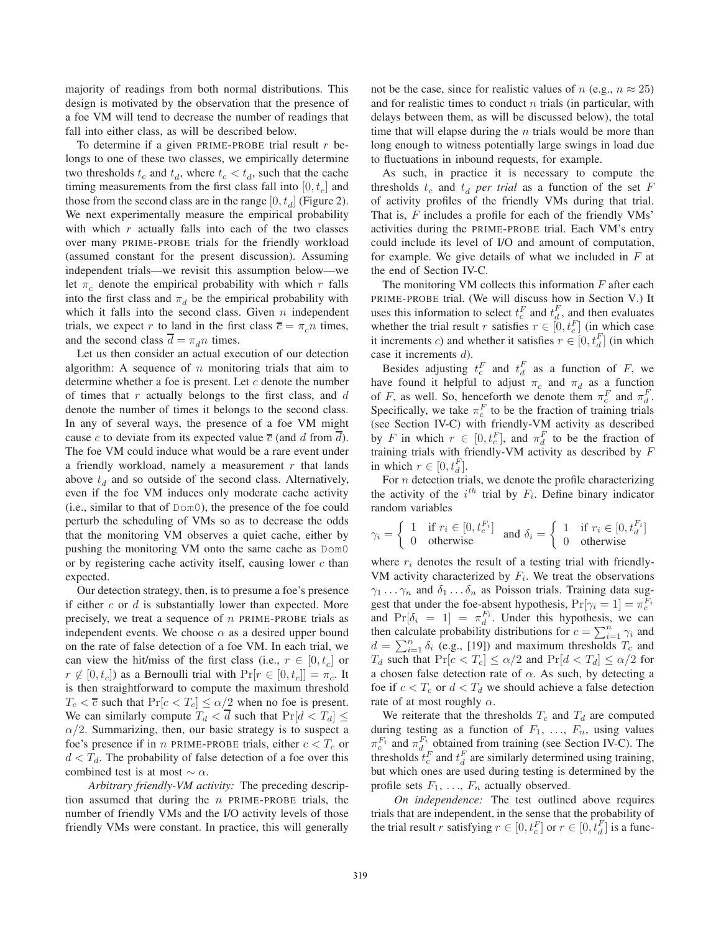majority of readings from both normal distributions. This design is motivated by the observation that the presence of a foe VM will tend to decrease the number of readings that fall into either class, as will be described below.

To determine if a given PRIME-PROBE trial result  $r$  belongs to one of these two classes, we empirically determine two thresholds  $t_c$  and  $t_d$ , where  $t_c < t_d$ , such that the cache timing measurements from the first class fall into  $[0, t_c]$  and those from the second class are in the range  $[0, t_d]$  (Figure 2). We next experimentally measure the empirical probability with which  $r$  actually falls into each of the two classes over many PRIME-PROBE trials for the friendly workload (assumed constant for the present discussion). Assuming independent trials—we revisit this assumption below—we let  $\pi_c$  denote the empirical probability with which r falls into the first class and  $\pi_d$  be the empirical probability with which it falls into the second class. Given  $n$  independent trials, we expect r to land in the first class  $\overline{c} = \pi_c n$  times, and the second class  $d = \pi_d n$  times.

Let us then consider an actual execution of our detection algorithm: A sequence of  $n$  monitoring trials that aim to determine whether a foe is present. Let  $c$  denote the number of times that  $r$  actually belongs to the first class, and  $d$ denote the number of times it belongs to the second class. In any of several ways, the presence of a foe VM might cause c to deviate from its expected value  $\overline{c}$  (and d from d). The foe VM could induce what would be a rare event under a friendly workload, namely a measurement  $r$  that lands above  $t_d$  and so outside of the second class. Alternatively, even if the foe VM induces only moderate cache activity (i.e., similar to that of Dom0), the presence of the foe could perturb the scheduling of VMs so as to decrease the odds that the monitoring VM observes a quiet cache, either by pushing the monitoring VM onto the same cache as Dom0 or by registering cache activity itself, causing lower  $c$  than expected.

Our detection strategy, then, is to presume a foe's presence if either  $c$  or  $d$  is substantially lower than expected. More precisely, we treat a sequence of  $n$  PRIME-PROBE trials as independent events. We choose  $\alpha$  as a desired upper bound on the rate of false detection of a foe VM. In each trial, we can view the hit/miss of the first class (i.e.,  $r \in [0, t_c]$  or  $r \notin [0, t_c]$ ) as a Bernoulli trial with  $Pr[r \in [0, t_c]] = \pi_c$ . It is then straightforward to compute the maximum threshold  $T_c < \overline{c}$  such that  $Pr[c < T_c] \le \alpha/2$  when no foe is present. We can similarly compute  $T_d < d$  such that  $Pr[d < T_d] \le$  $\alpha/2$ . Summarizing, then, our basic strategy is to suspect a foe's presence if in *n* PRIME-PROBE trials, either  $c < T_c$  or  $d < T_d$ . The probability of false detection of a foe over this combined test is at most  $\sim \alpha$ .

*Arbitrary friendly-VM activity:* The preceding description assumed that during the  $n$  PRIME-PROBE trials, the number of friendly VMs and the I/O activity levels of those friendly VMs were constant. In practice, this will generally

not be the case, since for realistic values of  $n$  (e.g.,  $n \approx 25$ ) and for realistic times to conduct  $n$  trials (in particular, with delays between them, as will be discussed below), the total time that will elapse during the  $n$  trials would be more than long enough to witness potentially large swings in load due to fluctuations in inbound requests, for example.

As such, in practice it is necessary to compute the thresholds  $t_c$  and  $t_d$  *per trial* as a function of the set F of activity profiles of the friendly VMs during that trial. That is, F includes a profile for each of the friendly VMs' activities during the PRIME-PROBE trial. Each VM's entry could include its level of I/O and amount of computation, for example. We give details of what we included in  $F$  at the end of Section IV-C.

The monitoring VM collects this information  $F$  after each PRIME-PROBE trial. (We will discuss how in Section V.) It uses this information to select  $t_c^F$  and  $t_d^F$ , and then evaluates whether the trial result r satisfies  $r \in [0, t_c^F]$  (in which case it increments *c*) and whether it satisfies  $r \in [0, t_d^F]$  (in which case it increments d).

Besides adjusting  $t_c^F$  and  $t_d^F$  as a function of F, we have found it helpful to adjust  $\pi_c$  and  $\pi_d$  as a function of F, as well. So, henceforth we denote them  $\pi_c^F$  and  $\pi_d^F$ . Specifically, we take  $\pi_c^F$  to be the fraction of training trials (see Section IV-C) with friendly-VM activity as described by F in which  $r \in [0, t_c^F]$ , and  $\pi_d^F$  to be the fraction of training trials with friendly-VM activity as described by F in which  $r \in [0, t_d^F]$ .

For  $n$  detection trials, we denote the profile characterizing the activity of the  $i^{th}$  trial by  $F_i$ . Define binary indicator random variables

$$
\gamma_i = \begin{cases} 1 & \text{if } r_i \in [0, t_c^{F_i}] \\ 0 & \text{otherwise} \end{cases} \text{ and } \delta_i = \begin{cases} 1 & \text{if } r_i \in [0, t_d^{F_i}] \\ 0 & \text{otherwise} \end{cases}
$$

where  $r_i$  denotes the result of a testing trial with friendly-VM activity characterized by  $F_i$ . We treat the observations  $\gamma_1 \ldots \gamma_n$  and  $\delta_1 \ldots \delta_n$  as Poisson trials. Training data suggest that under the foe-absent hypothesis,  $Pr[\gamma_i = 1] = \pi_c^{F_i}$ and  $Pr[\delta_i = 1] = \pi_d^{F_i}$ . Under this hypothesis, we can then calculate probability distributions for  $c = \sum_{i=1}^{n} \gamma_i$  and  $d = \sum_{i=1}^{n} \delta_i$  (e.g., [19]) and maximum thresholds  $T_c$  and  $T_d$  such that  $Pr[c < T_c] \le \alpha/2$  and  $Pr[d < T_d] \le \alpha/2$  for a chosen false detection rate of  $\alpha$ . As such, by detecting a foe if  $c < T_c$  or  $d < T_d$  we should achieve a false detection rate of at most roughly  $\alpha$ .

We reiterate that the thresholds  $T_c$  and  $T_d$  are computed during testing as a function of  $F_1$ , ...,  $F_n$ , using values  $\pi_c^{F_i}$  and  $\pi_d^{F_i}$  obtained from training (see Section IV-C). The thresholds  $t_c^F$  and  $t_d^F$  are similarly determined using training, but which ones are used during testing is determined by the profile sets  $F_1, \ldots, F_n$  actually observed.

*On independence:* The test outlined above requires trials that are independent, in the sense that the probability of the trial result r satisfying  $r \in [0, t_c^F]$  or  $r \in [0, t_d^F]$  is a func-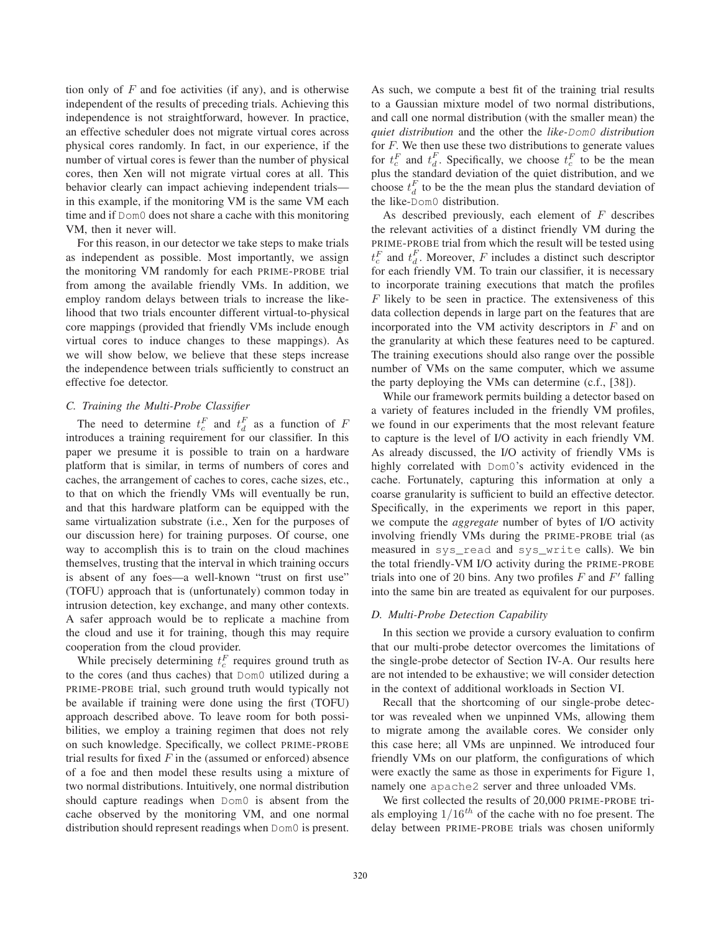tion only of  $F$  and foe activities (if any), and is otherwise independent of the results of preceding trials. Achieving this independence is not straightforward, however. In practice, an effective scheduler does not migrate virtual cores across physical cores randomly. In fact, in our experience, if the number of virtual cores is fewer than the number of physical cores, then Xen will not migrate virtual cores at all. This behavior clearly can impact achieving independent trials in this example, if the monitoring VM is the same VM each time and if Dom0 does not share a cache with this monitoring VM, then it never will.

For this reason, in our detector we take steps to make trials as independent as possible. Most importantly, we assign the monitoring VM randomly for each PRIME-PROBE trial from among the available friendly VMs. In addition, we employ random delays between trials to increase the likelihood that two trials encounter different virtual-to-physical core mappings (provided that friendly VMs include enough virtual cores to induce changes to these mappings). As we will show below, we believe that these steps increase the independence between trials sufficiently to construct an effective foe detector.

## *C. Training the Multi-Probe Classifier*

The need to determine  $t_c^F$  and  $t_d^F$  as a function of F introduces a training requirement for our classifier. In this paper we presume it is possible to train on a hardware platform that is similar, in terms of numbers of cores and caches, the arrangement of caches to cores, cache sizes, etc., to that on which the friendly VMs will eventually be run, and that this hardware platform can be equipped with the same virtualization substrate (i.e., Xen for the purposes of our discussion here) for training purposes. Of course, one way to accomplish this is to train on the cloud machines themselves, trusting that the interval in which training occurs is absent of any foes—a well-known "trust on first use" (TOFU) approach that is (unfortunately) common today in intrusion detection, key exchange, and many other contexts. A safer approach would be to replicate a machine from the cloud and use it for training, though this may require cooperation from the cloud provider.

While precisely determining  $t_c^F$  requires ground truth as to the cores (and thus caches) that Dom0 utilized during a PRIME-PROBE trial, such ground truth would typically not be available if training were done using the first (TOFU) approach described above. To leave room for both possibilities, we employ a training regimen that does not rely on such knowledge. Specifically, we collect PRIME-PROBE trial results for fixed  $F$  in the (assumed or enforced) absence of a foe and then model these results using a mixture of two normal distributions. Intuitively, one normal distribution should capture readings when Dom0 is absent from the cache observed by the monitoring VM, and one normal distribution should represent readings when Dom0 is present.

As such, we compute a best fit of the training trial results to a Gaussian mixture model of two normal distributions, and call one normal distribution (with the smaller mean) the *quiet distribution* and the other the *like-*Dom0 *distribution* for F. We then use these two distributions to generate values for  $t_c^F$  and  $t_d^F$ . Specifically, we choose  $t_c^F$  to be the mean plus the standard deviation of the quiet distribution, and we choose  $t_d^F$  to be the the mean plus the standard deviation of the like-Dom0 distribution.

As described previously, each element of  $F$  describes the relevant activities of a distinct friendly VM during the PRIME-PROBE trial from which the result will be tested using  $t_c^F$  and  $t_d^F$ . Moreover, F includes a distinct such descriptor for each friendly VM. To train our classifier, it is necessary to incorporate training executions that match the profiles  $F$  likely to be seen in practice. The extensiveness of this data collection depends in large part on the features that are incorporated into the VM activity descriptors in  $F$  and on the granularity at which these features need to be captured. The training executions should also range over the possible number of VMs on the same computer, which we assume the party deploying the VMs can determine (c.f., [38]).

While our framework permits building a detector based on a variety of features included in the friendly VM profiles, we found in our experiments that the most relevant feature to capture is the level of I/O activity in each friendly VM. As already discussed, the I/O activity of friendly VMs is highly correlated with Dom0's activity evidenced in the cache. Fortunately, capturing this information at only a coarse granularity is sufficient to build an effective detector. Specifically, in the experiments we report in this paper, we compute the *aggregate* number of bytes of I/O activity involving friendly VMs during the PRIME-PROBE trial (as measured in sys\_read and sys\_write calls). We bin the total friendly-VM I/O activity during the PRIME-PROBE trials into one of 20 bins. Any two profiles  $F$  and  $F'$  falling into the same bin are treated as equivalent for our purposes.

#### *D. Multi-Probe Detection Capability*

In this section we provide a cursory evaluation to confirm that our multi-probe detector overcomes the limitations of the single-probe detector of Section IV-A. Our results here are not intended to be exhaustive; we will consider detection in the context of additional workloads in Section VI.

Recall that the shortcoming of our single-probe detector was revealed when we unpinned VMs, allowing them to migrate among the available cores. We consider only this case here; all VMs are unpinned. We introduced four friendly VMs on our platform, the configurations of which were exactly the same as those in experiments for Figure 1, namely one apache2 server and three unloaded VMs.

We first collected the results of 20,000 PRIME-PROBE trials employing  $1/16^{th}$  of the cache with no foe present. The delay between PRIME-PROBE trials was chosen uniformly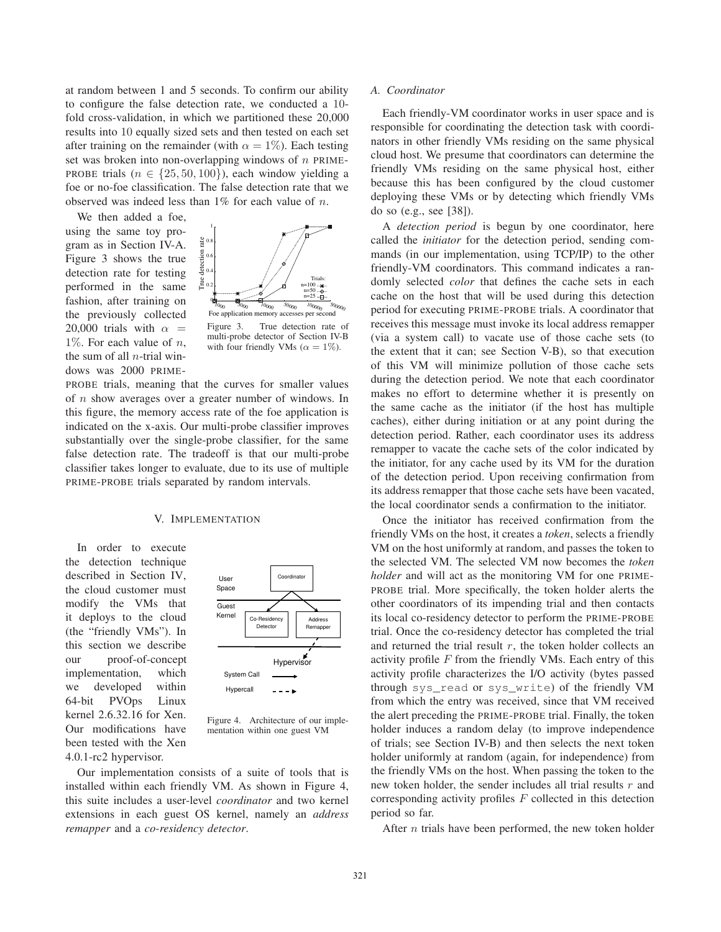at random between 1 and 5 seconds. To confirm our ability to configure the false detection rate, we conducted a 10 fold cross-validation, in which we partitioned these 20,000 results into 10 equally sized sets and then tested on each set after training on the remainder (with  $\alpha = 1\%$ ). Each testing set was broken into non-overlapping windows of  $n$  PRIME-PROBE trials ( $n \in \{25, 50, 100\}$ ), each window yielding a foe or no-foe classification. The false detection rate that we observed was indeed less than  $1\%$  for each value of n.

We then added a foe, using the same toy program as in Section IV-A. Figure 3 shows the true detection rate for testing performed in the same fashion, after training on the previously collected 20,000 trials with  $\alpha =$ 1%. For each value of  $n$ , the sum of all  $n$ -trial win-



dows was 2000 PRIME-PROBE trials, meaning that the curves for smaller values of n show averages over a greater number of windows. In this figure, the memory access rate of the foe application is indicated on the x-axis. Our multi-probe classifier improves substantially over the single-probe classifier, for the same false detection rate. The tradeoff is that our multi-probe classifier takes longer to evaluate, due to its use of multiple PRIME-PROBE trials separated by random intervals.

#### V. IMPLEMENTATION

In order to execute the detection technique described in Section IV, the cloud customer must modify the VMs that it deploys to the cloud (the "friendly VMs"). In this section we describe our proof-of-concept implementation, which we developed within 64-bit PVOps Linux kernel 2.6.32.16 for Xen. Our modifications have been tested with the Xen 4.0.1-rc2 hypervisor.



Figure 4. Architecture of our implementation within one guest VM

Our implementation consists of a suite of tools that is installed within each friendly VM. As shown in Figure 4, this suite includes a user-level *coordinator* and two kernel extensions in each guest OS kernel, namely an *address remapper* and a *co-residency detector*.

#### *A. Coordinator*

Each friendly-VM coordinator works in user space and is responsible for coordinating the detection task with coordinators in other friendly VMs residing on the same physical cloud host. We presume that coordinators can determine the friendly VMs residing on the same physical host, either because this has been configured by the cloud customer deploying these VMs or by detecting which friendly VMs do so (e.g., see [38]).

A *detection period* is begun by one coordinator, here called the *initiator* for the detection period, sending commands (in our implementation, using TCP/IP) to the other friendly-VM coordinators. This command indicates a randomly selected *color* that defines the cache sets in each cache on the host that will be used during this detection period for executing PRIME-PROBE trials. A coordinator that receives this message must invoke its local address remapper (via a system call) to vacate use of those cache sets (to the extent that it can; see Section V-B), so that execution of this VM will minimize pollution of those cache sets during the detection period. We note that each coordinator makes no effort to determine whether it is presently on the same cache as the initiator (if the host has multiple caches), either during initiation or at any point during the detection period. Rather, each coordinator uses its address remapper to vacate the cache sets of the color indicated by the initiator, for any cache used by its VM for the duration of the detection period. Upon receiving confirmation from its address remapper that those cache sets have been vacated, the local coordinator sends a confirmation to the initiator.

Once the initiator has received confirmation from the friendly VMs on the host, it creates a *token*, selects a friendly VM on the host uniformly at random, and passes the token to the selected VM. The selected VM now becomes the *token holder* and will act as the monitoring VM for one PRIME-PROBE trial. More specifically, the token holder alerts the other coordinators of its impending trial and then contacts its local co-residency detector to perform the PRIME-PROBE trial. Once the co-residency detector has completed the trial and returned the trial result  $r$ , the token holder collects an activity profile  $F$  from the friendly VMs. Each entry of this activity profile characterizes the I/O activity (bytes passed through sys\_read or sys\_write) of the friendly VM from which the entry was received, since that VM received the alert preceding the PRIME-PROBE trial. Finally, the token holder induces a random delay (to improve independence of trials; see Section IV-B) and then selects the next token holder uniformly at random (again, for independence) from the friendly VMs on the host. When passing the token to the new token holder, the sender includes all trial results  $r$  and corresponding activity profiles  $F$  collected in this detection period so far.

After *n* trials have been performed, the new token holder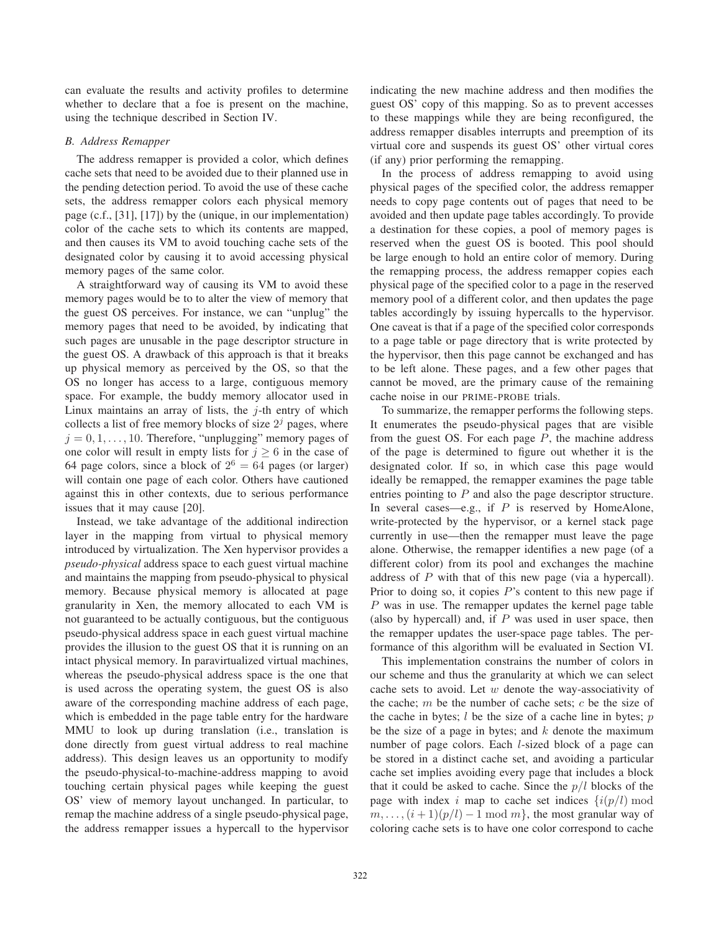can evaluate the results and activity profiles to determine whether to declare that a foe is present on the machine, using the technique described in Section IV.

## *B. Address Remapper*

The address remapper is provided a color, which defines cache sets that need to be avoided due to their planned use in the pending detection period. To avoid the use of these cache sets, the address remapper colors each physical memory page (c.f., [31], [17]) by the (unique, in our implementation) color of the cache sets to which its contents are mapped, and then causes its VM to avoid touching cache sets of the designated color by causing it to avoid accessing physical memory pages of the same color.

A straightforward way of causing its VM to avoid these memory pages would be to to alter the view of memory that the guest OS perceives. For instance, we can "unplug" the memory pages that need to be avoided, by indicating that such pages are unusable in the page descriptor structure in the guest OS. A drawback of this approach is that it breaks up physical memory as perceived by the OS, so that the OS no longer has access to a large, contiguous memory space. For example, the buddy memory allocator used in Linux maintains an array of lists, the  $i$ -th entry of which collects a list of free memory blocks of size  $2<sup>j</sup>$  pages, where  $j = 0, 1, \ldots, 10$ . Therefore, "unplugging" memory pages of one color will result in empty lists for  $j \geq 6$  in the case of 64 page colors, since a block of  $2^6 = 64$  pages (or larger) will contain one page of each color. Others have cautioned against this in other contexts, due to serious performance issues that it may cause [20].

Instead, we take advantage of the additional indirection layer in the mapping from virtual to physical memory introduced by virtualization. The Xen hypervisor provides a *pseudo-physical* address space to each guest virtual machine and maintains the mapping from pseudo-physical to physical memory. Because physical memory is allocated at page granularity in Xen, the memory allocated to each VM is not guaranteed to be actually contiguous, but the contiguous pseudo-physical address space in each guest virtual machine provides the illusion to the guest OS that it is running on an intact physical memory. In paravirtualized virtual machines, whereas the pseudo-physical address space is the one that is used across the operating system, the guest OS is also aware of the corresponding machine address of each page, which is embedded in the page table entry for the hardware MMU to look up during translation (i.e., translation is done directly from guest virtual address to real machine address). This design leaves us an opportunity to modify the pseudo-physical-to-machine-address mapping to avoid touching certain physical pages while keeping the guest OS' view of memory layout unchanged. In particular, to remap the machine address of a single pseudo-physical page, the address remapper issues a hypercall to the hypervisor

indicating the new machine address and then modifies the guest OS' copy of this mapping. So as to prevent accesses to these mappings while they are being reconfigured, the address remapper disables interrupts and preemption of its virtual core and suspends its guest OS' other virtual cores (if any) prior performing the remapping.

In the process of address remapping to avoid using physical pages of the specified color, the address remapper needs to copy page contents out of pages that need to be avoided and then update page tables accordingly. To provide a destination for these copies, a pool of memory pages is reserved when the guest OS is booted. This pool should be large enough to hold an entire color of memory. During the remapping process, the address remapper copies each physical page of the specified color to a page in the reserved memory pool of a different color, and then updates the page tables accordingly by issuing hypercalls to the hypervisor. One caveat is that if a page of the specified color corresponds to a page table or page directory that is write protected by the hypervisor, then this page cannot be exchanged and has to be left alone. These pages, and a few other pages that cannot be moved, are the primary cause of the remaining cache noise in our PRIME-PROBE trials.

To summarize, the remapper performs the following steps. It enumerates the pseudo-physical pages that are visible from the guest OS. For each page  $P$ , the machine address of the page is determined to figure out whether it is the designated color. If so, in which case this page would ideally be remapped, the remapper examines the page table entries pointing to  $P$  and also the page descriptor structure. In several cases—e.g., if  $P$  is reserved by HomeAlone, write-protected by the hypervisor, or a kernel stack page currently in use—then the remapper must leave the page alone. Otherwise, the remapper identifies a new page (of a different color) from its pool and exchanges the machine address of P with that of this new page (via a hypercall). Prior to doing so, it copies  $P$ 's content to this new page if P was in use. The remapper updates the kernel page table (also by hypercall) and, if  $P$  was used in user space, then the remapper updates the user-space page tables. The performance of this algorithm will be evaluated in Section VI.

This implementation constrains the number of colors in our scheme and thus the granularity at which we can select cache sets to avoid. Let  $w$  denote the way-associativity of the cache;  $m$  be the number of cache sets;  $c$  be the size of the cache in bytes;  $l$  be the size of a cache line in bytes;  $p$ be the size of a page in bytes; and  $k$  denote the maximum number of page colors. Each l-sized block of a page can be stored in a distinct cache set, and avoiding a particular cache set implies avoiding every page that includes a block that it could be asked to cache. Since the  $p/l$  blocks of the page with index i map to cache set indices  $\{i(p/l) \text{ mod }$  $m, \ldots, (i+1)(p/l) - 1 \mod m$ , the most granular way of coloring cache sets is to have one color correspond to cache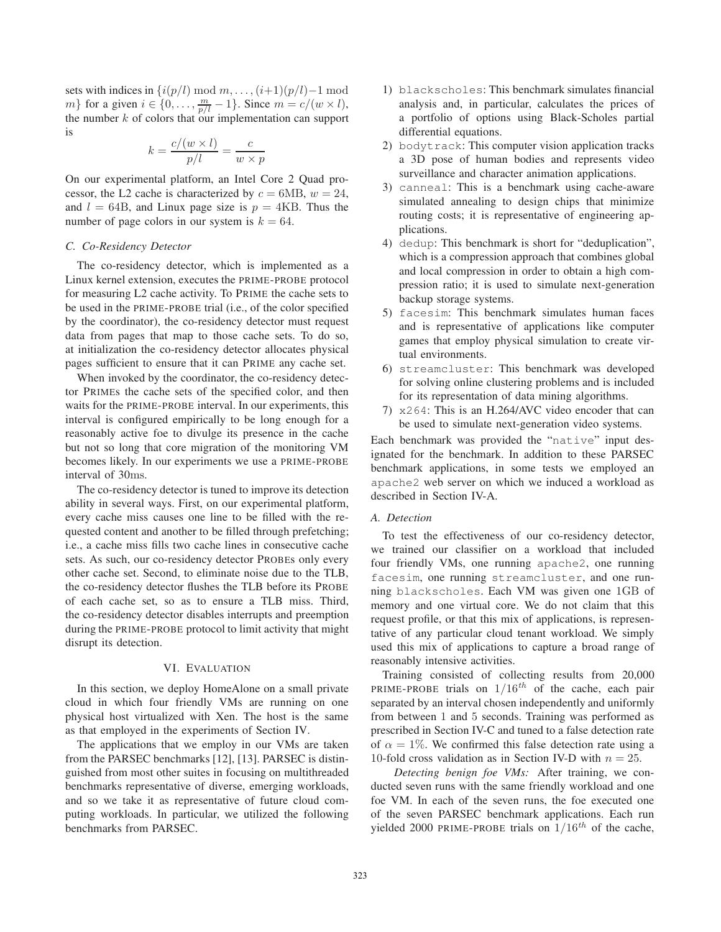sets with indices in  $\{i(p/l) \mod m, \ldots, (i+1)(p/l)-1 \mod m\}$ m} for a given  $i \in \{0, \ldots, \frac{m}{p/l} - 1\}$ . Since  $m = c/(w \times l)$ , the number  $k$  of colors that our implementation can support is

$$
k = \frac{c/(w \times l)}{p/l} = \frac{c}{w \times p}
$$

On our experimental platform, an Intel Core 2 Quad processor, the L2 cache is characterized by  $c = 6MB$ ,  $w = 24$ , and  $l = 64B$ , and Linux page size is  $p = 4KB$ . Thus the number of page colors in our system is  $k = 64$ .

#### *C. Co-Residency Detector*

The co-residency detector, which is implemented as a Linux kernel extension, executes the PRIME-PROBE protocol for measuring L2 cache activity. To PRIME the cache sets to be used in the PRIME-PROBE trial (i.e., of the color specified by the coordinator), the co-residency detector must request data from pages that map to those cache sets. To do so, at initialization the co-residency detector allocates physical pages sufficient to ensure that it can PRIME any cache set.

When invoked by the coordinator, the co-residency detector PRIMEs the cache sets of the specified color, and then waits for the PRIME-PROBE interval. In our experiments, this interval is configured empirically to be long enough for a reasonably active foe to divulge its presence in the cache but not so long that core migration of the monitoring VM becomes likely. In our experiments we use a PRIME-PROBE interval of 30ms.

The co-residency detector is tuned to improve its detection ability in several ways. First, on our experimental platform, every cache miss causes one line to be filled with the requested content and another to be filled through prefetching; i.e., a cache miss fills two cache lines in consecutive cache sets. As such, our co-residency detector PROBEs only every other cache set. Second, to eliminate noise due to the TLB, the co-residency detector flushes the TLB before its PROBE of each cache set, so as to ensure a TLB miss. Third, the co-residency detector disables interrupts and preemption during the PRIME-PROBE protocol to limit activity that might disrupt its detection.

## VI. EVALUATION

In this section, we deploy HomeAlone on a small private cloud in which four friendly VMs are running on one physical host virtualized with Xen. The host is the same as that employed in the experiments of Section IV.

The applications that we employ in our VMs are taken from the PARSEC benchmarks [12], [13]. PARSEC is distinguished from most other suites in focusing on multithreaded benchmarks representative of diverse, emerging workloads, and so we take it as representative of future cloud computing workloads. In particular, we utilized the following benchmarks from PARSEC.

- 1) blackscholes: This benchmark simulates financial analysis and, in particular, calculates the prices of a portfolio of options using Black-Scholes partial differential equations.
- 2) bodytrack: This computer vision application tracks a 3D pose of human bodies and represents video surveillance and character animation applications.
- 3) canneal: This is a benchmark using cache-aware simulated annealing to design chips that minimize routing costs; it is representative of engineering applications.
- 4) dedup: This benchmark is short for "deduplication", which is a compression approach that combines global and local compression in order to obtain a high compression ratio; it is used to simulate next-generation backup storage systems.
- 5) facesim: This benchmark simulates human faces and is representative of applications like computer games that employ physical simulation to create virtual environments.
- 6) streamcluster: This benchmark was developed for solving online clustering problems and is included for its representation of data mining algorithms.
- 7) x264: This is an H.264/AVC video encoder that can be used to simulate next-generation video systems.

Each benchmark was provided the "native" input designated for the benchmark. In addition to these PARSEC benchmark applications, in some tests we employed an apache2 web server on which we induced a workload as described in Section IV-A.

#### *A. Detection*

To test the effectiveness of our co-residency detector, we trained our classifier on a workload that included four friendly VMs, one running apache2, one running facesim, one running streamcluster, and one running blackscholes. Each VM was given one 1GB of memory and one virtual core. We do not claim that this request profile, or that this mix of applications, is representative of any particular cloud tenant workload. We simply used this mix of applications to capture a broad range of reasonably intensive activities.

Training consisted of collecting results from 20,000 PRIME-PROBE trials on  $1/16^{th}$  of the cache, each pair separated by an interval chosen independently and uniformly from between 1 and 5 seconds. Training was performed as prescribed in Section IV-C and tuned to a false detection rate of  $\alpha = 1\%$ . We confirmed this false detection rate using a 10-fold cross validation as in Section IV-D with  $n = 25$ .

*Detecting benign foe VMs:* After training, we conducted seven runs with the same friendly workload and one foe VM. In each of the seven runs, the foe executed one of the seven PARSEC benchmark applications. Each run yielded 2000 PRIME-PROBE trials on  $1/16^{th}$  of the cache,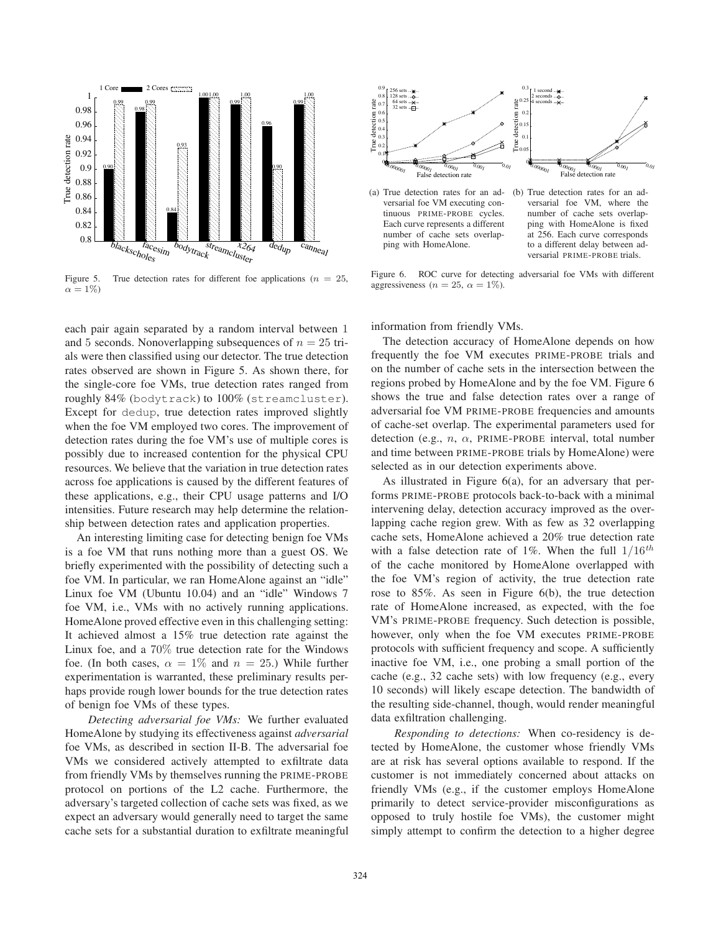

Figure 5. True detection rates for different foe applications ( $n = 25$ ,  $\alpha = 1\%$ 

each pair again separated by a random interval between 1 and 5 seconds. Nonoverlapping subsequences of  $n = 25$  trials were then classified using our detector. The true detection rates observed are shown in Figure 5. As shown there, for the single-core foe VMs, true detection rates ranged from roughly 84% (bodytrack) to 100% (streamcluster). Except for dedup, true detection rates improved slightly when the foe VM employed two cores. The improvement of detection rates during the foe VM's use of multiple cores is possibly due to increased contention for the physical CPU resources. We believe that the variation in true detection rates across foe applications is caused by the different features of these applications, e.g., their CPU usage patterns and I/O intensities. Future research may help determine the relationship between detection rates and application properties.

An interesting limiting case for detecting benign foe VMs is a foe VM that runs nothing more than a guest OS. We briefly experimented with the possibility of detecting such a foe VM. In particular, we ran HomeAlone against an "idle" Linux foe VM (Ubuntu 10.04) and an "idle" Windows 7 foe VM, i.e., VMs with no actively running applications. HomeAlone proved effective even in this challenging setting: It achieved almost a 15% true detection rate against the Linux foe, and a 70% true detection rate for the Windows foe. (In both cases,  $\alpha = 1\%$  and  $n = 25$ .) While further experimentation is warranted, these preliminary results perhaps provide rough lower bounds for the true detection rates of benign foe VMs of these types.

*Detecting adversarial foe VMs:* We further evaluated HomeAlone by studying its effectiveness against *adversarial* foe VMs, as described in section II-B. The adversarial foe VMs we considered actively attempted to exfiltrate data from friendly VMs by themselves running the PRIME-PROBE protocol on portions of the L2 cache. Furthermore, the adversary's targeted collection of cache sets was fixed, as we expect an adversary would generally need to target the same cache sets for a substantial duration to exfiltrate meaningful



versarial foe VM executing continuous PRIME-PROBE cycles. Each curve represents a different number of cache sets overlapping with HomeAlone.

(b) True detection rates for an adversarial foe VM, where the number of cache sets overlapping with HomeAlone is fixed at 256. Each curve corresponds to a different delay between adversarial PRIME-PROBE trials.

Figure 6. ROC curve for detecting adversarial foe VMs with different aggressiveness ( $n = 25$ ,  $\alpha = 1\%$ ).

information from friendly VMs.

The detection accuracy of HomeAlone depends on how frequently the foe VM executes PRIME-PROBE trials and on the number of cache sets in the intersection between the regions probed by HomeAlone and by the foe VM. Figure 6 shows the true and false detection rates over a range of adversarial foe VM PRIME-PROBE frequencies and amounts of cache-set overlap. The experimental parameters used for detection (e.g.,  $n$ ,  $\alpha$ , PRIME-PROBE interval, total number and time between PRIME-PROBE trials by HomeAlone) were selected as in our detection experiments above.

As illustrated in Figure 6(a), for an adversary that performs PRIME-PROBE protocols back-to-back with a minimal intervening delay, detection accuracy improved as the overlapping cache region grew. With as few as 32 overlapping cache sets, HomeAlone achieved a 20% true detection rate with a false detection rate of 1%. When the full  $1/16^{th}$ of the cache monitored by HomeAlone overlapped with the foe VM's region of activity, the true detection rate rose to 85%. As seen in Figure 6(b), the true detection rate of HomeAlone increased, as expected, with the foe VM's PRIME-PROBE frequency. Such detection is possible, however, only when the foe VM executes PRIME-PROBE protocols with sufficient frequency and scope. A sufficiently inactive foe VM, i.e., one probing a small portion of the cache (e.g., 32 cache sets) with low frequency (e.g., every 10 seconds) will likely escape detection. The bandwidth of the resulting side-channel, though, would render meaningful data exfiltration challenging.

*Responding to detections:* When co-residency is detected by HomeAlone, the customer whose friendly VMs are at risk has several options available to respond. If the customer is not immediately concerned about attacks on friendly VMs (e.g., if the customer employs HomeAlone primarily to detect service-provider misconfigurations as opposed to truly hostile foe VMs), the customer might simply attempt to confirm the detection to a higher degree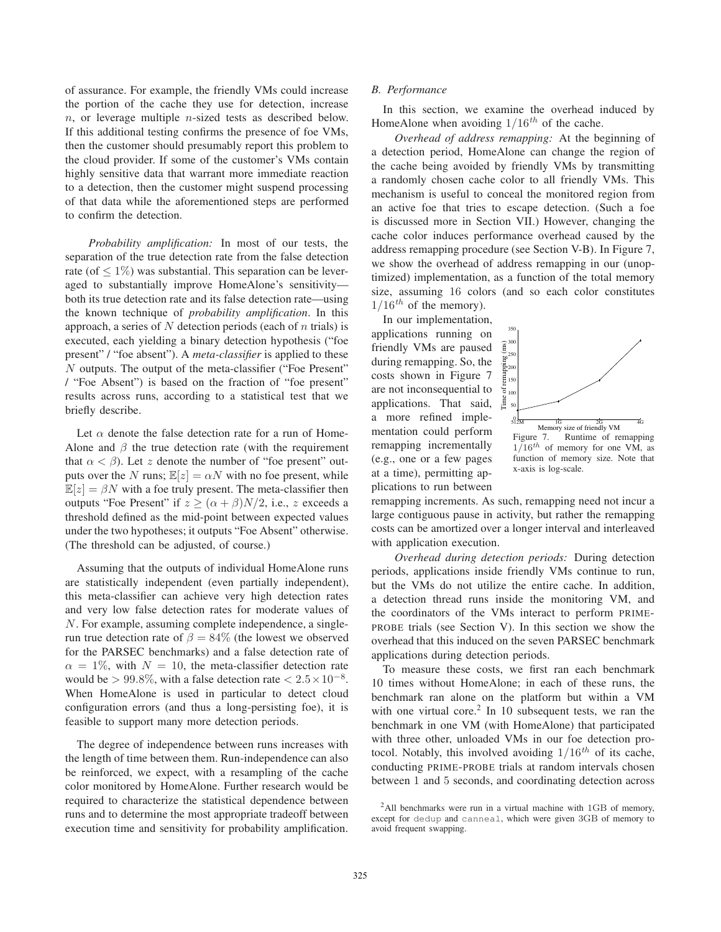of assurance. For example, the friendly VMs could increase the portion of the cache they use for detection, increase  $n$ , or leverage multiple  $n$ -sized tests as described below. If this additional testing confirms the presence of foe VMs, then the customer should presumably report this problem to the cloud provider. If some of the customer's VMs contain highly sensitive data that warrant more immediate reaction to a detection, then the customer might suspend processing of that data while the aforementioned steps are performed to confirm the detection.

*Probability amplification:* In most of our tests, the separation of the true detection rate from the false detection rate (of  $\leq 1\%$ ) was substantial. This separation can be leveraged to substantially improve HomeAlone's sensitivity both its true detection rate and its false detection rate—using the known technique of *probability amplification*. In this approach, a series of  $N$  detection periods (each of  $n$  trials) is executed, each yielding a binary detection hypothesis ("foe present" / "foe absent"). A *meta-classifier* is applied to these N outputs. The output of the meta-classifier ("Foe Present" / "Foe Absent") is based on the fraction of "foe present" results across runs, according to a statistical test that we briefly describe.

Let  $\alpha$  denote the false detection rate for a run of Home-Alone and  $\beta$  the true detection rate (with the requirement that  $\alpha < \beta$ ). Let z denote the number of "foe present" outputs over the N runs;  $\mathbb{E}[z] = \alpha N$  with no foe present, while  $\mathbb{E}[z] = \beta N$  with a foe truly present. The meta-classifier then outputs "Foe Present" if  $z \geq (\alpha + \beta)N/2$ , i.e., z exceeds a threshold defined as the mid-point between expected values under the two hypotheses; it outputs "Foe Absent" otherwise. (The threshold can be adjusted, of course.)

Assuming that the outputs of individual HomeAlone runs are statistically independent (even partially independent), this meta-classifier can achieve very high detection rates and very low false detection rates for moderate values of N. For example, assuming complete independence, a singlerun true detection rate of  $\beta = 84\%$  (the lowest we observed for the PARSEC benchmarks) and a false detection rate of  $\alpha = 1\%$ , with  $N = 10$ , the meta-classifier detection rate would be > 99.8%, with a false detection rate  $< 2.5 \times 10^{-8}$ . When HomeAlone is used in particular to detect cloud configuration errors (and thus a long-persisting foe), it is feasible to support many more detection periods.

The degree of independence between runs increases with the length of time between them. Run-independence can also be reinforced, we expect, with a resampling of the cache color monitored by HomeAlone. Further research would be required to characterize the statistical dependence between runs and to determine the most appropriate tradeoff between execution time and sensitivity for probability amplification.

## *B. Performance*

In this section, we examine the overhead induced by HomeAlone when avoiding  $1/16^{th}$  of the cache.

*Overhead of address remapping:* At the beginning of a detection period, HomeAlone can change the region of the cache being avoided by friendly VMs by transmitting a randomly chosen cache color to all friendly VMs. This mechanism is useful to conceal the monitored region from an active foe that tries to escape detection. (Such a foe is discussed more in Section VII.) However, changing the cache color induces performance overhead caused by the address remapping procedure (see Section V-B). In Figure 7, we show the overhead of address remapping in our (unoptimized) implementation, as a function of the total memory size, assuming 16 colors (and so each color constitutes  $1/16^{th}$  of the memory).

In our implementation, applications running on friendly VMs are paused during remapping. So, the costs shown in Figure 7 are not inconsequential to applications. That said, a more refined implementation could perform remapping incrementally (e.g., one or a few pages at a time), permitting applications to run between



Figure 7. Runtime of remapping  $1/16^{th}$  of memory for one VM, as function of memory size. Note that x-axis is log-scale.

remapping increments. As such, remapping need not incur a large contiguous pause in activity, but rather the remapping costs can be amortized over a longer interval and interleaved with application execution.

*Overhead during detection periods:* During detection periods, applications inside friendly VMs continue to run, but the VMs do not utilize the entire cache. In addition, a detection thread runs inside the monitoring VM, and the coordinators of the VMs interact to perform PRIME-PROBE trials (see Section V). In this section we show the overhead that this induced on the seven PARSEC benchmark applications during detection periods.

To measure these costs, we first ran each benchmark 10 times without HomeAlone; in each of these runs, the benchmark ran alone on the platform but within a VM with one virtual core.<sup>2</sup> In 10 subsequent tests, we ran the benchmark in one VM (with HomeAlone) that participated with three other, unloaded VMs in our foe detection protocol. Notably, this involved avoiding  $1/16^{th}$  of its cache, conducting PRIME-PROBE trials at random intervals chosen between 1 and 5 seconds, and coordinating detection across

<sup>&</sup>lt;sup>2</sup>All benchmarks were run in a virtual machine with 1GB of memory, except for dedup and canneal, which were given 3GB of memory to avoid frequent swapping.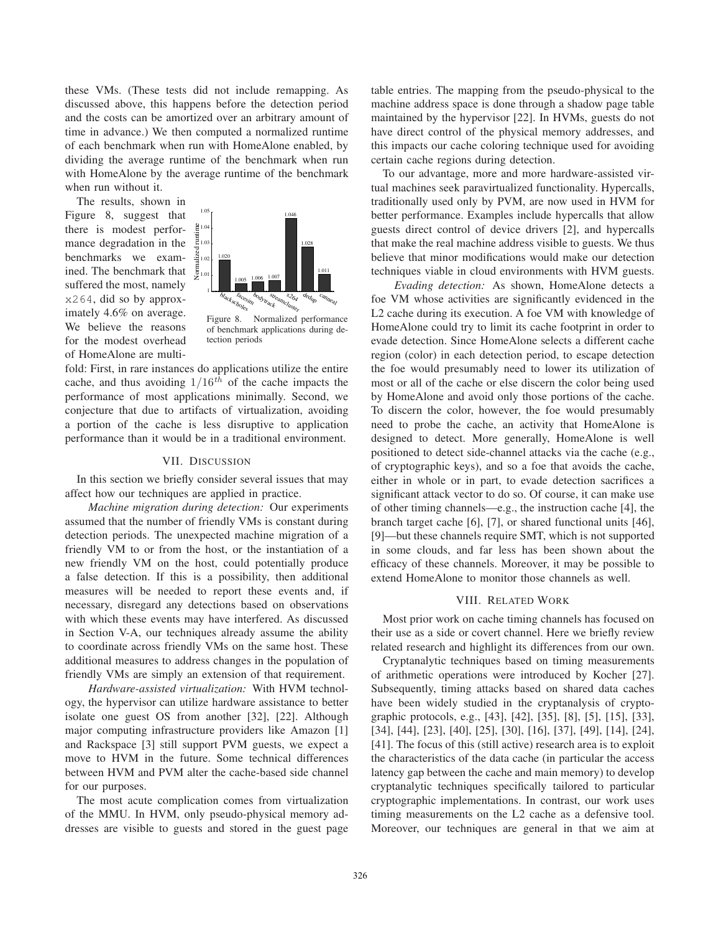these VMs. (These tests did not include remapping. As discussed above, this happens before the detection period and the costs can be amortized over an arbitrary amount of time in advance.) We then computed a normalized runtime of each benchmark when run with HomeAlone enabled, by dividing the average runtime of the benchmark when run with HomeAlone by the average runtime of the benchmark when run without it.

The results, shown in Figure 8, suggest that there is modest performance degradation in the benchmarks we examined. The benchmark that suffered the most, namely x264, did so by approximately 4.6% on average. We believe the reasons for the modest overhead of HomeAlone are multi-



Figure 8. Normalized performance of benchmark applications during detection periods

fold: First, in rare instances do applications utilize the entire cache, and thus avoiding  $1/16^{th}$  of the cache impacts the performance of most applications minimally. Second, we conjecture that due to artifacts of virtualization, avoiding a portion of the cache is less disruptive to application performance than it would be in a traditional environment.

## VII. DISCUSSION

In this section we briefly consider several issues that may affect how our techniques are applied in practice.

*Machine migration during detection:* Our experiments assumed that the number of friendly VMs is constant during detection periods. The unexpected machine migration of a friendly VM to or from the host, or the instantiation of a new friendly VM on the host, could potentially produce a false detection. If this is a possibility, then additional measures will be needed to report these events and, if necessary, disregard any detections based on observations with which these events may have interfered. As discussed in Section V-A, our techniques already assume the ability to coordinate across friendly VMs on the same host. These additional measures to address changes in the population of friendly VMs are simply an extension of that requirement.

*Hardware-assisted virtualization:* With HVM technology, the hypervisor can utilize hardware assistance to better isolate one guest OS from another [32], [22]. Although major computing infrastructure providers like Amazon [1] and Rackspace [3] still support PVM guests, we expect a move to HVM in the future. Some technical differences between HVM and PVM alter the cache-based side channel for our purposes.

The most acute complication comes from virtualization of the MMU. In HVM, only pseudo-physical memory addresses are visible to guests and stored in the guest page

table entries. The mapping from the pseudo-physical to the machine address space is done through a shadow page table maintained by the hypervisor [22]. In HVMs, guests do not have direct control of the physical memory addresses, and this impacts our cache coloring technique used for avoiding certain cache regions during detection.

To our advantage, more and more hardware-assisted virtual machines seek paravirtualized functionality. Hypercalls, traditionally used only by PVM, are now used in HVM for better performance. Examples include hypercalls that allow guests direct control of device drivers [2], and hypercalls that make the real machine address visible to guests. We thus believe that minor modifications would make our detection techniques viable in cloud environments with HVM guests.

*Evading detection:* As shown, HomeAlone detects a foe VM whose activities are significantly evidenced in the L2 cache during its execution. A foe VM with knowledge of HomeAlone could try to limit its cache footprint in order to evade detection. Since HomeAlone selects a different cache region (color) in each detection period, to escape detection the foe would presumably need to lower its utilization of most or all of the cache or else discern the color being used by HomeAlone and avoid only those portions of the cache. To discern the color, however, the foe would presumably need to probe the cache, an activity that HomeAlone is designed to detect. More generally, HomeAlone is well positioned to detect side-channel attacks via the cache (e.g., of cryptographic keys), and so a foe that avoids the cache, either in whole or in part, to evade detection sacrifices a significant attack vector to do so. Of course, it can make use of other timing channels—e.g., the instruction cache [4], the branch target cache [6], [7], or shared functional units [46], [9]—but these channels require SMT, which is not supported in some clouds, and far less has been shown about the efficacy of these channels. Moreover, it may be possible to extend HomeAlone to monitor those channels as well.

## VIII. RELATED WORK

Most prior work on cache timing channels has focused on their use as a side or covert channel. Here we briefly review related research and highlight its differences from our own.

Cryptanalytic techniques based on timing measurements of arithmetic operations were introduced by Kocher [27]. Subsequently, timing attacks based on shared data caches have been widely studied in the cryptanalysis of cryptographic protocols, e.g., [43], [42], [35], [8], [5], [15], [33], [34], [44], [23], [40], [25], [30], [16], [37], [49], [14], [24], [41]. The focus of this (still active) research area is to exploit the characteristics of the data cache (in particular the access latency gap between the cache and main memory) to develop cryptanalytic techniques specifically tailored to particular cryptographic implementations. In contrast, our work uses timing measurements on the L2 cache as a defensive tool. Moreover, our techniques are general in that we aim at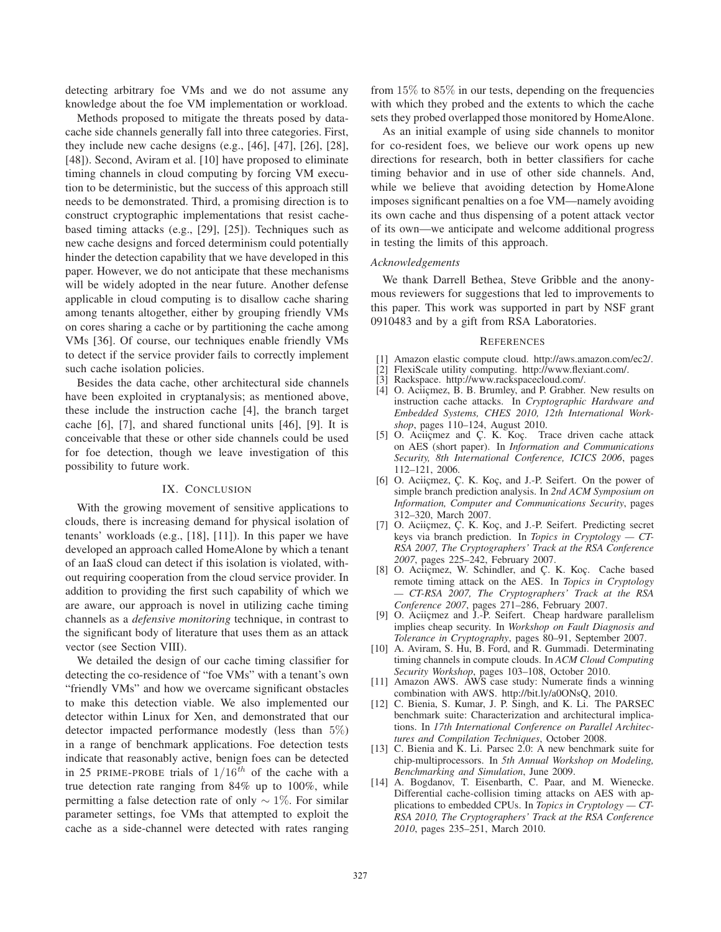detecting arbitrary foe VMs and we do not assume any knowledge about the foe VM implementation or workload.

Methods proposed to mitigate the threats posed by datacache side channels generally fall into three categories. First, they include new cache designs (e.g., [46], [47], [26], [28], [48]). Second, Aviram et al. [10] have proposed to eliminate timing channels in cloud computing by forcing VM execution to be deterministic, but the success of this approach still needs to be demonstrated. Third, a promising direction is to construct cryptographic implementations that resist cachebased timing attacks (e.g., [29], [25]). Techniques such as new cache designs and forced determinism could potentially hinder the detection capability that we have developed in this paper. However, we do not anticipate that these mechanisms will be widely adopted in the near future. Another defense applicable in cloud computing is to disallow cache sharing among tenants altogether, either by grouping friendly VMs on cores sharing a cache or by partitioning the cache among VMs [36]. Of course, our techniques enable friendly VMs to detect if the service provider fails to correctly implement such cache isolation policies.

Besides the data cache, other architectural side channels have been exploited in cryptanalysis; as mentioned above, these include the instruction cache [4], the branch target cache [6], [7], and shared functional units [46], [9]. It is conceivable that these or other side channels could be used for foe detection, though we leave investigation of this possibility to future work.

#### IX. CONCLUSION

With the growing movement of sensitive applications to clouds, there is increasing demand for physical isolation of tenants' workloads (e.g., [18], [11]). In this paper we have developed an approach called HomeAlone by which a tenant of an IaaS cloud can detect if this isolation is violated, without requiring cooperation from the cloud service provider. In addition to providing the first such capability of which we are aware, our approach is novel in utilizing cache timing channels as a *defensive monitoring* technique, in contrast to the significant body of literature that uses them as an attack vector (see Section VIII).

We detailed the design of our cache timing classifier for detecting the co-residence of "foe VMs" with a tenant's own "friendly VMs" and how we overcame significant obstacles to make this detection viable. We also implemented our detector within Linux for Xen, and demonstrated that our detector impacted performance modestly (less than 5%) in a range of benchmark applications. Foe detection tests indicate that reasonably active, benign foes can be detected in 25 PRIME-PROBE trials of  $1/16^{th}$  of the cache with a true detection rate ranging from 84% up to 100%, while permitting a false detection rate of only  $\sim 1\%$ . For similar parameter settings, foe VMs that attempted to exploit the cache as a side-channel were detected with rates ranging

from  $15\%$  to  $85\%$  in our tests, depending on the frequencies with which they probed and the extents to which the cache sets they probed overlapped those monitored by HomeAlone.

As an initial example of using side channels to monitor for co-resident foes, we believe our work opens up new directions for research, both in better classifiers for cache timing behavior and in use of other side channels. And, while we believe that avoiding detection by HomeAlone imposes significant penalties on a foe VM—namely avoiding its own cache and thus dispensing of a potent attack vector of its own—we anticipate and welcome additional progress in testing the limits of this approach.

#### *Acknowledgements*

We thank Darrell Bethea, Steve Gribble and the anonymous reviewers for suggestions that led to improvements to this paper. This work was supported in part by NSF grant 0910483 and by a gift from RSA Laboratories.

#### **REFERENCES**

- [1] Amazon elastic compute cloud. http://aws.amazon.com/ec2/.
- [2] FlexiScale utility computing. http://www.flexiant.com/.
- [3] Rackspace. http://www.rackspacecloud.com/.
- [4] O. Aciiçmez, B. B. Brumley, and P. Grabher. New results on instruction cache attacks. In *Cryptographic Hardware and Embedded Systems, CHES 2010, 12th International Workshop*, pages 110–124, August 2010.
- [5] O. Aciiçmez and Ç. K. Koç. Trace driven cache attack on AES (short paper). In *Information and Communications Security, 8th International Conference, ICICS 2006*, pages 112–121, 2006.
- [6] O. Aciicmez, C. K. Koc, and J.-P. Seifert. On the power of simple branch prediction analysis. In *2nd ACM Symposium on Information, Computer and Communications Security*, pages 312–320, March 2007.
- [7] O. Aciic mez, C. K. Koc, and J.-P. Seifert. Predicting secret keys via branch prediction. In *Topics in Cryptology — CT-RSA 2007, The Cryptographers' Track at the RSA Conference 2007*, pages 225–242, February 2007.
- [8] O. Aciicmez, W. Schindler, and C. K. Koc. Cache based remote timing attack on the AES. In *Topics in Cryptology — CT-RSA 2007, The Cryptographers' Track at the RSA Conference 2007*, pages 271–286, February 2007.
- [9] O. Aciicmez and J.-P. Seifert. Cheap hardware parallelism implies cheap security. In *Workshop on Fault Diagnosis and Tolerance in Cryptography*, pages 80–91, September 2007.
- [10] A. Aviram, S. Hu, B. Ford, and R. Gummadi. Determinating timing channels in compute clouds. In *ACM Cloud Computing Security Workshop*, pages 103–108, October 2010.
- [11] Amazon AWS. AWS case study: Numerate finds a winning combination with AWS. http://bit.ly/a0ONsQ, 2010.
- [12] C. Bienia, S. Kumar, J. P. Singh, and K. Li. The PARSEC benchmark suite: Characterization and architectural implications. In *17th International Conference on Parallel Architectures and Compilation Techniques*, October 2008.
- [13] C. Bienia and K. Li. Parsec 2.0: A new benchmark suite for chip-multiprocessors. In *5th Annual Workshop on Modeling, Benchmarking and Simulation*, June 2009.
- [14] A. Bogdanov, T. Eisenbarth, C. Paar, and M. Wienecke. Differential cache-collision timing attacks on AES with applications to embedded CPUs. In *Topics in Cryptology — CT-RSA 2010, The Cryptographers' Track at the RSA Conference 2010*, pages 235–251, March 2010.